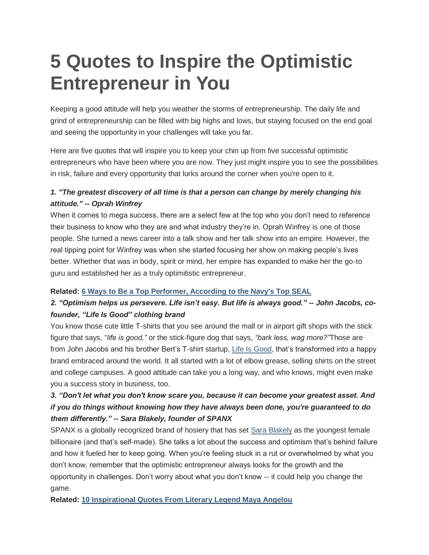# **5 Quotes to Inspire the Optimistic Entrepreneur in You**

Keeping a good attitude will help you weather the storms of entrepreneurship. The daily life and grind of entrepreneurship can be filled with big highs and lows, but staying focused on the end goal and seeing the opportunity in your challenges will take you far.

Here are five quotes that will inspire you to keep your chin up from five successful optimistic entrepreneurs who have been where you are now. They just might inspire you to see the possibilities in risk, failure and every opportunity that lurks around the corner when you're open to it.

#### *1. "The greatest discovery of all time is that a person can change by merely changing his attitude." -- Oprah Winfrey*

When it comes to mega success, there are a select few at the top who you don't need to reference their business to know who they are and what industry they're in. Oprah Winfrey is one of those people. She turned a news career into a talk show and her talk show into an empire. However, the real tipping point for Winfrey was when she started focusing her show on making people's lives better. Whether that was in body, spirit or mind, her empire has expanded to make her the go-to guru and established her as a truly optimitistic entrepreneur.

#### **Related: [6 Ways to Be a Top Performer, According to the Navy's Top SEAL](http://www.entrepreneur.com/article/234265)**

# *2. "Optimism helps us persevere. Life isn't easy. But life is always good." -- John Jacobs, cofounder, "Life Is Good" clothing brand*

You know those cute little T-shirts that you see around the mall or in airport gift shops with the stick figure that says, "*life is good,"* or the stick-figure dog that says, *"bark less, wag more?"*Those are from John Jacobs and his brother Bert's T-shirt startup, [Life Is Good,](http://www.lifeisgood.com/about-ourstory.html) that's transformed into a happy brand embraced around the world. It all started with a lot of elbow grease, selling shirts on the street and college campuses. A good attitude can take you a long way, and who knows, might even make you a success story in business, too.

# *3. "Don't let what you don't know scare you, because it can become your greatest asset. And if you do things without knowing how they have always been done, you're guaranteed to do them differently." -- Sara Blakely, founder of SPANX*

SPANX is a globally recognized brand of hosiery that has set [Sara Blakely](http://www.nydailynews.com/life-style/fashion/spanx-founder-sara-blakely-youngest-self-made-female-billionaire-forbes-article-1.1035366) as the youngest female billionaire (and that's self-made). She talks a lot about the success and optimism that's behind failure and how it fueled her to keep going. When you're feeling stuck in a rut or overwhelmed by what you don't know, remember that the optimistic entrepreneur always looks for the growth and the opportunity in challenges. Don't worry about what you don't know -- it could help you change the game.

**Related: [10 Inspirational Quotes From Literary Legend Maya Angelou](http://www.entrepreneur.com/article/234268)**